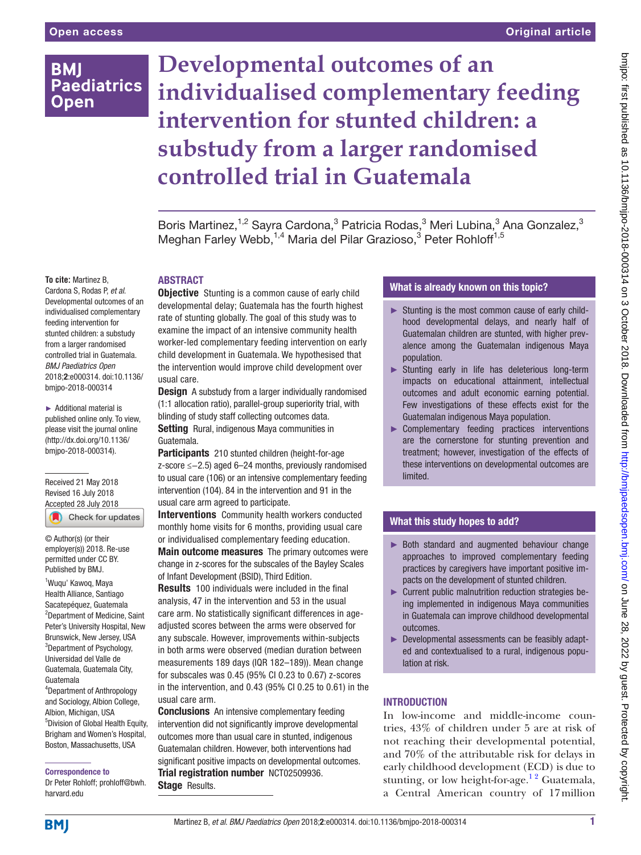# **BMI Paediatrics Open**

# **Developmental outcomes of an individualised complementary feeding intervention for stunted children: a substudy from a larger randomised controlled trial in Guatemala**

Boris Martinez,<sup>1,2</sup> Sayra Cardona,<sup>3</sup> Patricia Rodas,<sup>3</sup> Meri Lubina,<sup>3</sup> Ana Gonzalez,<sup>3</sup> Meghan Farley Webb,<sup>1,4</sup> Maria del Pilar Grazioso,<sup>3</sup> Peter Rohloff<sup>1,5</sup>

#### **To cite:** Martinez B,

Cardona S, Rodas P, *et al*. Developmental outcomes of an individualised complementary feeding intervention for stunted children: a substudy from a larger randomised controlled trial in Guatemala. *BMJ Paediatrics Open* 2018;2:e000314. doi:10.1136/ bmjpo-2018-000314

► Additional material is published online only. To view, please visit the journal online (http://dx.doi.org/10.1136/ bmjpo-2018-000314).

Received 21 May 2018 Revised 16 July 2018 [Accepted 28 July 2018](http://crossmark.crossref.org/dialog/?doi=10.1136/bmjpo-2018-000314&domain=pdf&date_stamp=2018-010-03)

Check for updates

© Author(s) (or their employer(s)) 2018. Re-use permitted under CC BY. Published by BMJ.

1 Wuqu' Kawoq, Maya Health Alliance, Santiago Sacatepéquez, Guatemala <sup>2</sup>Department of Medicine, Saint Peter's University Hospital, New Brunswick, New Jersey, USA <sup>3</sup>Department of Psychology, Universidad del Valle de Guatemala, Guatemala City, Guatemala 4 Department of Anthropology and Sociology, Albion College, Albion, Michigan, USA

5 Division of Global Health Equity, Brigham and Women's Hospital, Boston, Massachusetts, USA

Correspondence to

Dr Peter Rohloff; prohloff@bwh. harvard.edu

# **ABSTRACT**

**Objective** Stunting is a common cause of early child developmental delay; Guatemala has the fourth highest rate of stunting globally. The goal of this study was to examine the impact of an intensive community health worker-led complementary feeding intervention on early child development in Guatemala. We hypothesised that the intervention would improve child development over usual care.

**Design** A substudy from a larger individually randomised (1:1 allocation ratio), parallel-group superiority trial, with blinding of study staff collecting outcomes data. Setting Rural, indigenous Maya communities in Guatemala.

Participants 210 stunted children (height-for-age z-score ≤−2.5) aged 6–24 months, previously randomised to usual care (106) or an intensive complementary feeding intervention (104). 84 in the intervention and 91 in the usual care arm agreed to participate.

Interventions Community health workers conducted monthly home visits for 6 months, providing usual care or individualised complementary feeding education.

Main outcome measures The primary outcomes were change in z-scores for the subscales of the Bayley Scales of Infant Development (BSID), Third Edition.

Results 100 individuals were included in the final analysis, 47 in the intervention and 53 in the usual care arm. No statistically significant differences in ageadjusted scores between the arms were observed for any subscale. However, improvements within-subjects in both arms were observed (median duration between measurements 189 days (IQR 182–189)). Mean change for subscales was 0.45 (95% CI 0.23 to 0.67) z-scores in the intervention, and 0.43 (95% CI 0.25 to 0.61) in the usual care arm.

**Conclusions** An intensive complementary feeding intervention did not significantly improve developmental outcomes more than usual care in stunted, indigenous Guatemalan children. However, both interventions had significant positive impacts on developmental outcomes. Trial registration number [NCT02509936.](NCT02509936) Stage Results.

# What is already known on this topic?

- ► Stunting is the most common cause of early childhood developmental delays, and nearly half of Guatemalan children are stunted, with higher prevalence among the Guatemalan indigenous Maya population.
- ► Stunting early in life has deleterious long-term impacts on educational attainment, intellectual outcomes and adult economic earning potential. Few investigations of these effects exist for the Guatemalan indigenous Maya population.
- ► Complementary feeding practices interventions are the cornerstone for stunting prevention and treatment; however, investigation of the effects of these interventions on developmental outcomes are limited.

## What this study hopes to add?

- ► Both standard and augmented behaviour change approaches to improved complementary feeding practices by caregivers have important positive impacts on the development of stunted children.
- ► Current public malnutrition reduction strategies being implemented in indigenous Maya communities in Guatemala can improve childhood developmental outcomes.
- ► Developmental assessments can be feasibly adapted and contextualised to a rural, indigenous population at risk.

### **INTRODUCTION**

In low-income and middle-income countries, 43% of children under 5 are at risk of not reaching their developmental potential, and 70% of the attributable risk for delays in early childhood development (ECD) is due to stunting, or low height-for-age.<sup>12</sup> Guatemala, a Central American country of 17million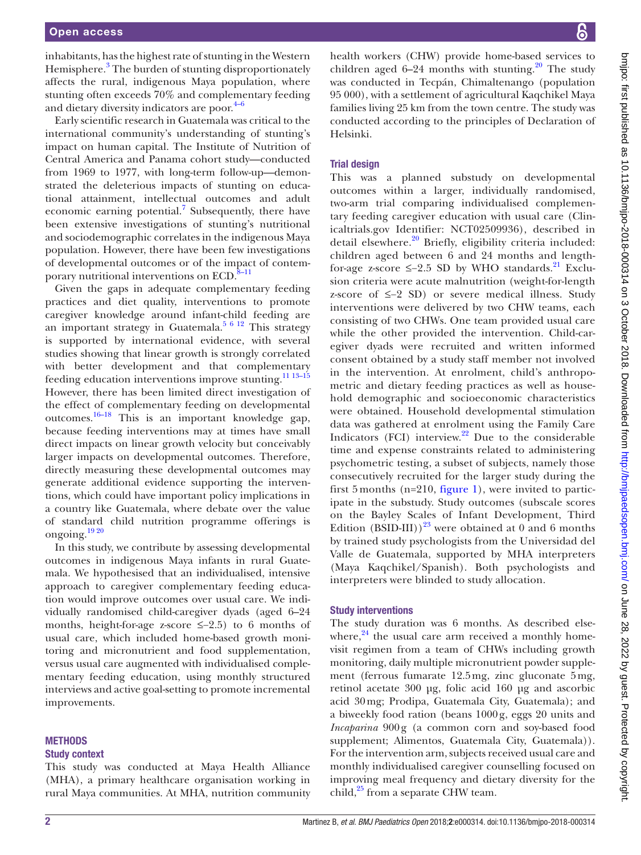inhabitants, has the highest rate of stunting in the Western Hemisphere.<sup>[3](#page-7-1)</sup> The burden of stunting disproportionately affects the rural, indigenous Maya population, where stunting often exceeds 70% and complementary feeding and dietary diversity indicators are poor. $4-6$ 

Early scientific research in Guatemala was critical to the international community's understanding of stunting's impact on human capital. The Institute of Nutrition of Central America and Panama cohort study—conducted from 1969 to 1977, with long-term follow-up—demonstrated the deleterious impacts of stunting on educational attainment, intellectual outcomes and adult economic earning potential.<sup>7</sup> Subsequently, there have been extensive investigations of stunting's nutritional and sociodemographic correlates in the indigenous Maya population. However, there have been few investigations of developmental outcomes or of the impact of contemporary nutritional interventions on ECD.<sup>8-11</sup>

Given the gaps in adequate complementary feeding practices and diet quality, interventions to promote caregiver knowledge around infant-child feeding are an important strategy in Guatemala. $5612$  This strategy is supported by international evidence, with several studies showing that linear growth is strongly correlated with better development and that complementary feeding education interventions improve stunting.<sup>11 13-15</sup> However, there has been limited direct investigation of the effect of complementary feeding on developmental outcomes.[16–18](#page-7-7) This is an important knowledge gap, because feeding interventions may at times have small direct impacts on linear growth velocity but conceivably larger impacts on developmental outcomes. Therefore, directly measuring these developmental outcomes may generate additional evidence supporting the interventions, which could have important policy implications in a country like Guatemala, where debate over the value of standard child nutrition programme offerings is ongoing. $\frac{1920}{20}$ 

In this study, we contribute by assessing developmental outcomes in indigenous Maya infants in rural Guatemala. We hypothesised that an individualised, intensive approach to caregiver complementary feeding education would improve outcomes over usual care. We individually randomised child-caregiver dyads (aged 6–24 months, height-for-age z-score ≤−2.5) to 6 months of usual care, which included home-based growth monitoring and micronutrient and food supplementation, versus usual care augmented with individualised complementary feeding education, using monthly structured interviews and active goal-setting to promote incremental improvements.

#### **METHODS**

#### Study context

This study was conducted at Maya Health Alliance (MHA), a primary healthcare organisation working in rural Maya communities. At MHA, nutrition community

health workers (CHW) provide home-based services to children aged  $6-24$  months with stunting.<sup>[20](#page-7-9)</sup> The study was conducted in Tecpán, Chimaltenango (population 95 000), with a settlement of agricultural Kaqchikel Maya families living 25 km from the town centre. The study was conducted according to the principles of Declaration of Helsinki.

#### Trial design

This was a planned substudy on developmental outcomes within a larger, individually randomised, two-arm trial comparing individualised complementary feeding caregiver education with usual care (Clinicaltrials.gov Identifier: NCT02509936), described in detail elsewhere.<sup>20</sup> Briefly, eligibility criteria included: children aged between 6 and 24 months and lengthfor-age z-score  $\leq$ -2.5 SD by WHO standards.<sup>[21](#page-7-10)</sup> Exclusion criteria were acute malnutrition (weight-for-length z-score of ≤−2 SD) or severe medical illness. Study interventions were delivered by two CHW teams, each consisting of two CHWs. One team provided usual care while the other provided the intervention. Child-caregiver dyads were recruited and written informed consent obtained by a study staff member not involved in the intervention. At enrolment, child's anthropometric and dietary feeding practices as well as household demographic and socioeconomic characteristics were obtained. Household developmental stimulation data was gathered at enrolment using the Family Care Indicators (FCI) interview. $22$  Due to the considerable time and expense constraints related to administering psychometric testing, a subset of subjects, namely those consecutively recruited for the larger study during the first 5 months  $(n=210,$  [figure](#page-2-0) 1), were invited to participate in the substudy. Study outcomes (subscale scores on the Bayley Scales of Infant Development, Third Edition (BSID-III))<sup>[23](#page-7-12)</sup> were obtained at 0 and 6 months by trained study psychologists from the Universidad del Valle de Guatemala, supported by MHA interpreters (Maya Kaqchikel/Spanish). Both psychologists and interpreters were blinded to study allocation.

#### Study interventions

The study duration was 6 months. As described elsewhere, $24$  the usual care arm received a monthly homevisit regimen from a team of CHWs including growth monitoring, daily multiple micronutrient powder supplement (ferrous fumarate 12.5mg, zinc gluconate 5mg, retinol acetate 300 μg, folic acid 160 μg and ascorbic acid 30mg; Prodipa, Guatemala City, Guatemala); and a biweekly food ration (beans 1000g, eggs 20 units and *Incaparina* 900g (a common corn and soy-based food supplement; Alimentos, Guatemala City, Guatemala)). For the intervention arm, subjects received usual care and monthly individualised caregiver counselling focused on improving meal frequency and dietary diversity for the child,<sup>[25](#page-7-14)</sup> from a separate CHW team.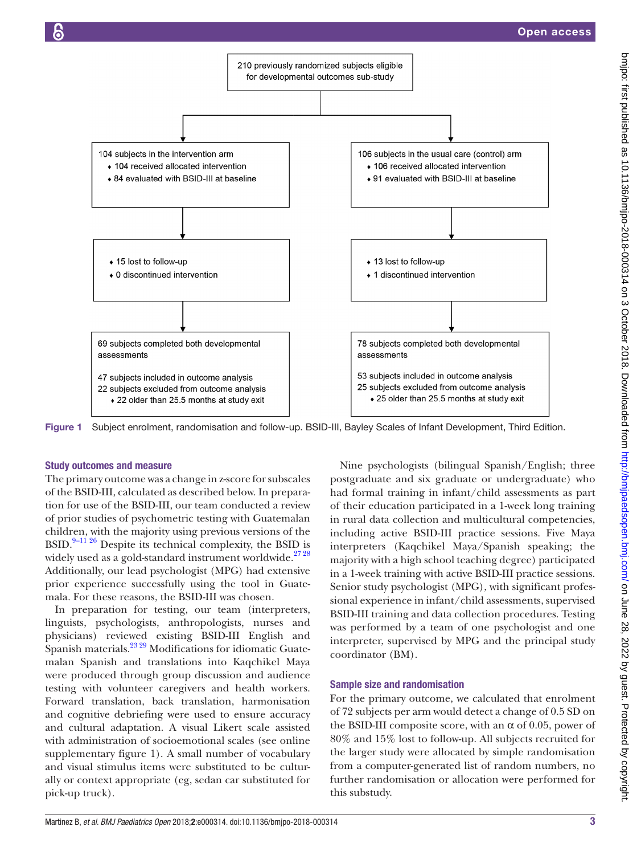

<span id="page-2-0"></span>Figure 1 Subject enrolment, randomisation and follow-up. BSID-III, Bayley Scales of Infant Development, Third Edition.

#### Study outcomes and measure

The primary outcome was a change in z-score for subscales of the BSID-III, calculated as described below. In preparation for use of the BSID-III, our team conducted a review of prior studies of psychometric testing with Guatemalan children, with the majority using previous versions of the BSID. $9-11\,26$  Despite its technical complexity, the BSID is widely used as a gold-standard instrument worldwide.<sup>2728</sup> Additionally, our lead psychologist (MPG) had extensive prior experience successfully using the tool in Guatemala. For these reasons, the BSID-III was chosen.

In preparation for testing, our team (interpreters, linguists, psychologists, anthropologists, nurses and physicians) reviewed existing BSID-III English and Spanish materials.<sup>[23 29](#page-7-12)</sup> Modifications for idiomatic Guatemalan Spanish and translations into Kaqchikel Maya were produced through group discussion and audience testing with volunteer caregivers and health workers. Forward translation, back translation, harmonisation and cognitive debriefing were used to ensure accuracy and cultural adaptation. A visual Likert scale assisted with administration of socioemotional scales (see online [supplementary figure 1\)](https://dx.doi.org/10.1136/bmjpo-2018-000314). A small number of vocabulary and visual stimulus items were substituted to be culturally or context appropriate (eg, sedan car substituted for pick-up truck).

Nine psychologists (bilingual Spanish/English; three postgraduate and six graduate or undergraduate) who had formal training in infant/child assessments as part of their education participated in a 1-week long training in rural data collection and multicultural competencies, including active BSID-III practice sessions. Five Maya interpreters (Kaqchikel Maya/Spanish speaking; the majority with a high school teaching degree) participated in a 1-week training with active BSID-III practice sessions. Senior study psychologist (MPG), with significant professional experience in infant/child assessments, supervised BSID-III training and data collection procedures. Testing was performed by a team of one psychologist and one interpreter, supervised by MPG and the principal study coordinator (BM).

#### Sample size and randomisation

For the primary outcome, we calculated that enrolment of 72 subjects per arm would detect a change of 0.5 SD on the BSID-III composite score, with an  $\alpha$  of 0.05, power of 80% and 15% lost to follow-up. All subjects recruited for the larger study were allocated by simple randomisation from a computer-generated list of random numbers, no further randomisation or allocation were performed for this substudy.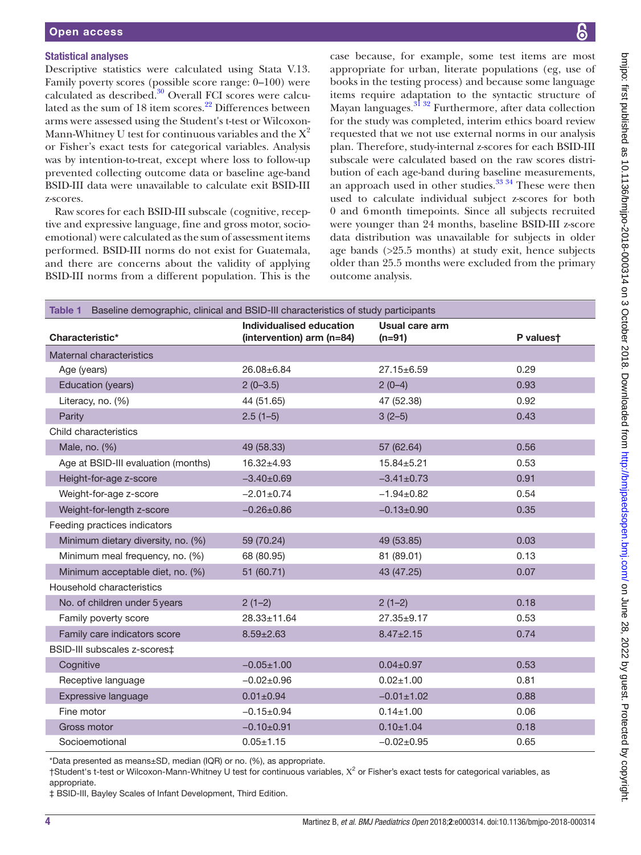# Statistical analyses

Descriptive statistics were calculated using Stata V.13. Family poverty scores (possible score range: 0–100) were calculated as described.<sup>30</sup> Overall FCI scores were calcu-lated as the sum of 18 item scores.<sup>[22](#page-7-11)</sup> Differences between arms were assessed using the Student's t-test or Wilcoxon-Mann-Whitney U test for continuous variables and the  $X^2$ or Fisher's exact tests for categorical variables. Analysis was by intention-to-treat, except where loss to follow-up prevented collecting outcome data or baseline age-band BSID-III data were unavailable to calculate exit BSID-III z-scores.

Raw scores for each BSID-III subscale (cognitive, receptive and expressive language, fine and gross motor, socioemotional) were calculated as the sum of assessment items performed. BSID-III norms do not exist for Guatemala, and there are concerns about the validity of applying BSID-III norms from a different population. This is the

case because, for example, some test items are most appropriate for urban, literate populations (eg, use of books in the testing process) and because some language items require adaptation to the syntactic structure of Mayan languages.<sup>31</sup> 32 Furthermore, after data collection for the study was completed, interim ethics board review requested that we not use external norms in our analysis plan. Therefore, study-internal z-scores for each BSID-III subscale were calculated based on the raw scores distribution of each age-band during baseline measurements, an approach used in other studies.<sup>33</sup> 34 These were then used to calculate individual subject z-scores for both 0 and 6month timepoints. Since all subjects recruited were younger than 24 months, baseline BSID-III z-score data distribution was unavailable for subjects in older age bands (>25.5 months) at study exit, hence subjects older than 25.5 months were excluded from the primary outcome analysis.

<span id="page-3-0"></span>

| Baseline demographic, clinical and BSID-III characteristics of study participants<br>Table 1 |                                                       |                            |           |
|----------------------------------------------------------------------------------------------|-------------------------------------------------------|----------------------------|-----------|
| Characteristic*                                                                              | Individualised education<br>(intervention) arm (n=84) | Usual care arm<br>$(n=91)$ | P valuest |
| Maternal characteristics                                                                     |                                                       |                            |           |
| Age (years)                                                                                  | 26.08±6.84                                            | 27.15±6.59                 | 0.29      |
| Education (years)                                                                            | $2(0-3.5)$                                            | $2(0-4)$                   | 0.93      |
| Literacy, no. (%)                                                                            | 44 (51.65)                                            | 47 (52.38)                 | 0.92      |
| Parity                                                                                       | $2.5(1-5)$                                            | $3(2-5)$                   | 0.43      |
| Child characteristics                                                                        |                                                       |                            |           |
| Male, no. (%)                                                                                | 49 (58.33)                                            | 57 (62.64)                 | 0.56      |
| Age at BSID-III evaluation (months)                                                          | $16.32 + 4.93$                                        | $15.84 + 5.21$             | 0.53      |
| Height-for-age z-score                                                                       | $-3.40+0.69$                                          | $-3.41 \pm 0.73$           | 0.91      |
| Weight-for-age z-score                                                                       | $-2.01 \pm 0.74$                                      | $-1.94 \pm 0.82$           | 0.54      |
| Weight-for-length z-score                                                                    | $-0.26 \pm 0.86$                                      | $-0.13 \pm 0.90$           | 0.35      |
| Feeding practices indicators                                                                 |                                                       |                            |           |
| Minimum dietary diversity, no. (%)                                                           | 59 (70.24)                                            | 49 (53.85)                 | 0.03      |
| Minimum meal frequency, no. (%)                                                              | 68 (80.95)                                            | 81 (89.01)                 | 0.13      |
| Minimum acceptable diet, no. (%)                                                             | 51 (60.71)                                            | 43 (47.25)                 | 0.07      |
| Household characteristics                                                                    |                                                       |                            |           |
| No. of children under 5 years                                                                | $2(1-2)$                                              | $2(1-2)$                   | 0.18      |
| Family poverty score                                                                         | $28.33 \pm 11.64$                                     | $27.35 \pm 9.17$           | 0.53      |
| Family care indicators score                                                                 | $8.59 \pm 2.63$                                       | $8.47 \pm 2.15$            | 0.74      |
| BSID-III subscales z-scores‡                                                                 |                                                       |                            |           |
| Cognitive                                                                                    | $-0.05 \pm 1.00$                                      | $0.04 \pm 0.97$            | 0.53      |
| Receptive language                                                                           | $-0.02 \pm 0.96$                                      | $0.02 \pm 1.00$            | 0.81      |
| Expressive language                                                                          | $0.01 \pm 0.94$                                       | $-0.01 \pm 1.02$           | 0.88      |
| Fine motor                                                                                   | $-0.15+0.94$                                          | $0.14 \pm 1.00$            | 0.06      |
| Gross motor                                                                                  | $-0.10+0.91$                                          | $0.10 \pm 1.04$            | 0.18      |
| Socioemotional                                                                               | $0.05 \pm 1.15$                                       | $-0.02 \pm 0.95$           | 0.65      |

\*Data presented as means±SD, median (IQR) or no. (%), as appropriate.

 $\dagger$ Student's t-test or Wilcoxon-Mann-Whitney U test for continuous variables,  $X^2$  or Fisher's exact tests for categorical variables, as appropriate.

‡ BSID-III, Bayley Scales of Infant Development, Third Edition.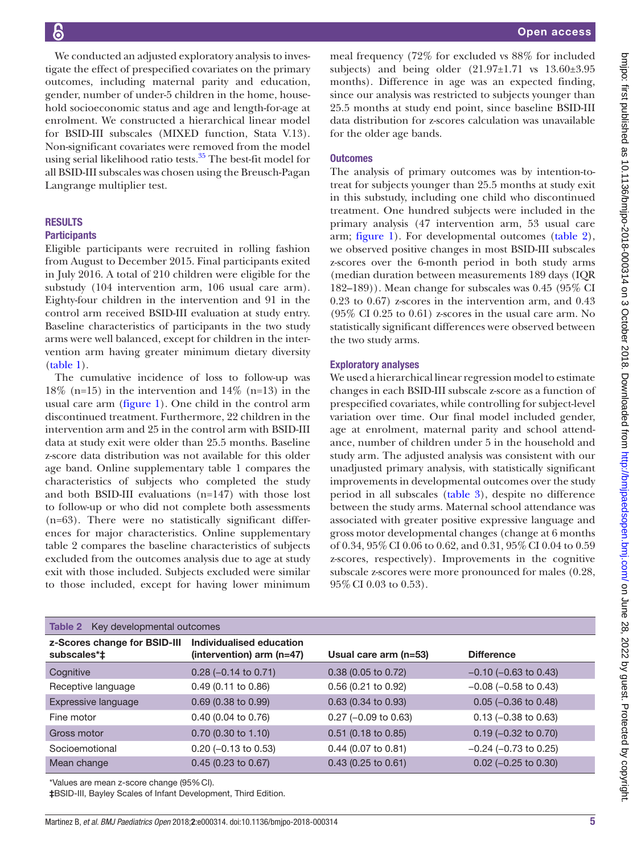We conducted an adjusted exploratory analysis to investigate the effect of prespecified covariates on the primary outcomes, including maternal parity and education, gender, number of under-5 children in the home, household socioeconomic status and age and length-for-age at enrolment. We constructed a hierarchical linear model for BSID-III subscales (MIXED function, Stata V.13). Non-significant covariates were removed from the model using serial likelihood ratio tests.<sup>35</sup> The best-fit model for all BSID-III subscales was chosen using the Breusch-Pagan Langrange multiplier test.

#### **RESULTS**

#### **Participants**

Eligible participants were recruited in rolling fashion from August to December 2015. Final participants exited in July 2016. A total of 210 children were eligible for the substudy (104 intervention arm, 106 usual care arm). Eighty-four children in the intervention and 91 in the control arm received BSID-III evaluation at study entry. Baseline characteristics of participants in the two study arms were well balanced, except for children in the intervention arm having greater minimum dietary diversity [\(table](#page-3-0) 1).

The cumulative incidence of loss to follow-up was 18% (n=15) in the intervention and 14% (n=13) in the usual care arm ([figure](#page-2-0) 1). One child in the control arm discontinued treatment. Furthermore, 22 children in the intervention arm and 25 in the control arm with BSID-III data at study exit were older than 25.5 months. Baseline z-score data distribution was not available for this older age band. Online [supplementary table 1](https://dx.doi.org/10.1136/bmjpo-2018-000314) compares the characteristics of subjects who completed the study and both BSID-III evaluations (n=147) with those lost to follow-up or who did not complete both assessments (n=63). There were no statistically significant differences for major characteristics. Online [supplementary](https://dx.doi.org/10.1136/bmjpo-2018-000314) [table 2](https://dx.doi.org/10.1136/bmjpo-2018-000314) compares the baseline characteristics of subjects excluded from the outcomes analysis due to age at study exit with those included. Subjects excluded were similar to those included, except for having lower minimum

meal frequency (72% for excluded vs 88% for included subjects) and being older  $(21.97\pm1.71 \text{ vs } 13.60\pm3.95$ months). Difference in age was an expected finding, since our analysis was restricted to subjects younger than 25.5 months at study end point, since baseline BSID-III data distribution for z-scores calculation was unavailable for the older age bands.

#### **Outcomes**

The analysis of primary outcomes was by intention-totreat for subjects younger than 25.5 months at study exit in this substudy, including one child who discontinued treatment. One hundred subjects were included in the primary analysis (47 intervention arm, 53 usual care arm; [figure](#page-2-0) 1). For developmental outcomes ([table](#page-4-0) 2), we observed positive changes in most BSID-III subscales z-scores over the 6-month period in both study arms (median duration between measurements 189 days (IQR 182–189)). Mean change for subscales was 0.45 (95% CI 0.23 to 0.67) z-scores in the intervention arm, and 0.43 (95% CI 0.25 to 0.61) z-scores in the usual care arm. No statistically significant differences were observed between the two study arms.

#### Exploratory analyses

We used a hierarchical linear regression model to estimate changes in each BSID-III subscale z-score as a function of prespecified covariates, while controlling for subject-level variation over time. Our final model included gender, age at enrolment, maternal parity and school attendance, number of children under 5 in the household and study arm. The adjusted analysis was consistent with our unadjusted primary analysis, with statistically significant improvements in developmental outcomes over the study period in all subscales ([table](#page-5-0) 3), despite no difference between the study arms. Maternal school attendance was associated with greater positive expressive language and gross motor developmental changes (change at 6 months of 0.34, 95%CI 0.06 to 0.62, and 0.31, 95%CI 0.04 to 0.59 z-scores, respectively). Improvements in the cognitive subscale z-scores were more pronounced for males (0.28, 95%CI 0.03 to 0.53).

<span id="page-4-0"></span>

| <b>Table 2</b> Key developmental outcomes   |                                                       |                         |                            |
|---------------------------------------------|-------------------------------------------------------|-------------------------|----------------------------|
| z-Scores change for BSID-III<br>subscales*‡ | Individualised education<br>(intervention) arm (n=47) | Usual care arm $(n=53)$ | <b>Difference</b>          |
| Cognitive                                   | $0.28$ (-0.14 to 0.71)                                | $0.38$ (0.05 to 0.72)   | $-0.10$ ( $-0.63$ to 0.43) |
| Receptive language                          | $0.49(0.11)$ to $0.86$                                | $0.56$ (0.21 to 0.92)   | $-0.08$ ( $-0.58$ to 0.43) |
| Expressive language                         | $0.69$ (0.38 to 0.99)                                 | $0.63$ (0.34 to 0.93)   | $0.05$ (-0.36 to 0.48)     |
| Fine motor                                  | $0.40$ (0.04 to 0.76)                                 | $0.27$ (-0.09 to 0.63)  | $0.13$ (-0.38 to 0.63)     |
| Gross motor                                 | $0.70$ (0.30 to 1.10)                                 | $0.51$ (0.18 to 0.85)   | $0.19$ (-0.32 to 0.70)     |
| Socioemotional                              | $0.20$ (-0.13 to 0.53)                                | $0.44$ (0.07 to 0.81)   | $-0.24$ ( $-0.73$ to 0.25) |
| Mean change                                 | $0.45(0.23)$ to $0.67$ )                              | $0.43$ (0.25 to 0.61)   | $0.02$ (-0.25 to 0.30)     |

\*Values are mean z-score change (95%CI).

‡BSID-III, Bayley Scales of Infant Development, Third Edition.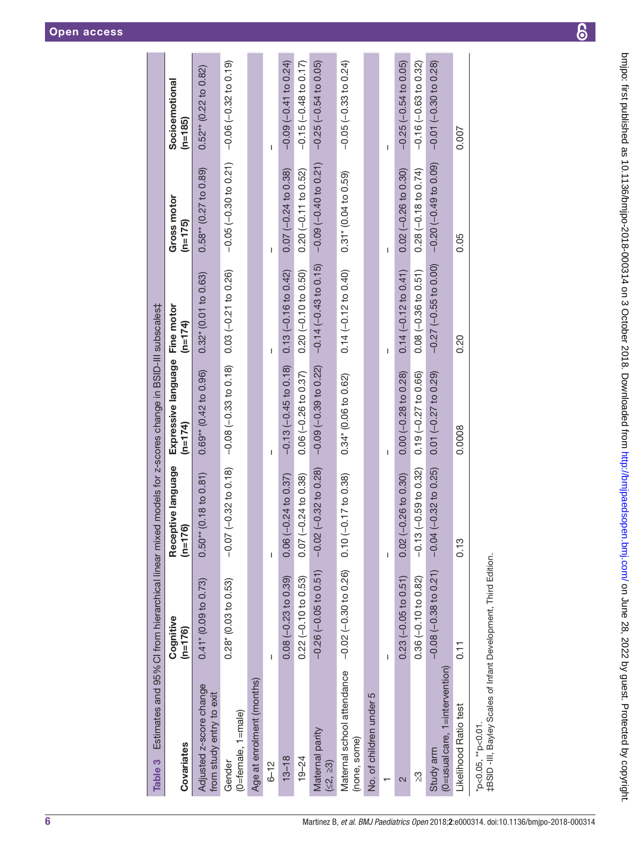| × |  |
|---|--|
|   |  |

<span id="page-5-0"></span>

| Table 3                                                                              | Estimates and 95% Cl from hierarchical linear mixed models for z-scores change in BSID-III subscales‡ |                                       |                                  |                            |                                 |                             |
|--------------------------------------------------------------------------------------|-------------------------------------------------------------------------------------------------------|---------------------------------------|----------------------------------|----------------------------|---------------------------------|-----------------------------|
| Covariates                                                                           | Cognitive<br>$(n=176)$                                                                                | Receptive language<br>$(n=176)$       | Expressive language<br>$(n=174)$ | Fine motor<br>$(n=174)$    | <b>Gross motor</b><br>$(n=175)$ | Socioemotional<br>$(n=185)$ |
| Adjusted z-score change<br>from study entry to exit                                  | $0.41$ <sup>*</sup> (0.09 to 0.73)                                                                    | $(0.18 \text{ to } 0.81)$<br>$0.50**$ | $0.69**$ (0.42 to 0.96)          | $0.32$ $(0.01$ to $0.63)$  | $0.58**$ (0.27 to 0.89)         | $0.52**$ (0.22 to 0.82)     |
| (0=female, 1=male)<br>Gender                                                         | 0.28 (0.03 to 0.53)                                                                                   | $(-0.32 \text{ to } 0.18)$<br>$-0.07$ | $-0.08 (-0.33 to 0.18)$          | $0.03 (-0.21 to 0.26)$     | $-0.05(-0.30 to 0.21)$          | $-0.06(-0.32 to 0.19)$      |
| Age at enrolment (months)                                                            |                                                                                                       |                                       |                                  |                            |                                 |                             |
| $6 - 12$                                                                             | I                                                                                                     | I                                     | I                                |                            | I                               | I                           |
| $13 - 18$                                                                            | $0.08(-0.23 to 0.39)$                                                                                 | $0.06 (-0.24 to 0.37)$                | $-0.13(-0.45$ to 0.18)           | $0.13(-0.16 to 0.42)$      | $0.07 (-0.24 to 0.38)$          | $-0.09(-0.41$ to 0.24)      |
| $19 - 24$                                                                            | $0.22 (-0.10 to 0.53)$                                                                                | $-0.24$ to 0.38)<br>0.07(             | $0.06 (-0.26 to 0.37)$           | $0.20 (-0.10 to 0.50)$     | $0.20 (-0.11 to 0.52)$          | $-0.15(-0.48$ to 0.17)      |
| Maternal parity<br>(52, 23)                                                          | $-0.26$ $(-0.05$ to $0.51)$                                                                           | $(-0.32 \text{ to } 0.28)$<br>$-0.02$ | $-0.09 (-0.39 to 0.22)$          | $-0.14 (-0.43 to 0.15)$    | $-0.09(-0.40 to 0.21)$          | $-0.25$ $(-0.54$ to 0.05)   |
| Maternal school attendance<br>(none, some)                                           | $-0.02$ $(-0.30$ to 0.26) 0.10 $(-0.17$ to 0.38)                                                      |                                       | 0.34* (0.06 to 0.62)             | $0.14 (-0.12 to 0.40)$     | 0.31* (0.04 to 0.59)            | $-0.05$ $(-0.33$ to 0.24)   |
| No. of children under 5                                                              |                                                                                                       |                                       |                                  |                            |                                 |                             |
|                                                                                      |                                                                                                       | I                                     |                                  |                            |                                 |                             |
| 2                                                                                    | $0.23(-0.05$ to $0.51)$                                                                               | $0.02$ ( $-0.26$ to $0.30$ )          | $0.00 (-0.28 to 0.28)$           | $0.14 (-0.12 to 0.41)$     | $0.02$ ( $-0.26$ to 0.30)       | $-0.25$ $(-0.54$ to 0.05)   |
| <u>က</u> ို                                                                          | $0.36(-0.10 to 0.82)$                                                                                 | $-0.13(-0.59$ to 0.32)                | $0.19 (-0.27 to 0.66)$           | $0.08 (-0.36 to 0.51)$     | $0.28(-0.18$ to $0.74)$         | $-0.16(-0.63$ to 0.32)      |
| (0=usual care, 1=intervention)<br>Study arm                                          | $-0.08$ $(-0.38$ to 0.21)                                                                             | $-0.04 (-0.32 \text{ to } 0.25)$      | $0.01 (-0.27 to 0.29)$           | $-0.27$ ( $-0.55$ to 0.00) | $-0.20$ $(-0.49$ to $0.09)$     | $-0.01(-0.30 to 0.28)$      |
| Likelihood Ratio test                                                                | 0.11                                                                                                  | 0.13                                  | 0.0008                           | 0.20                       | 0.05                            | 0.007                       |
| #BSID -III, Bayley Scales of Infant Development, Third Edition.<br>*p<0.05, **p<0.01 |                                                                                                       |                                       |                                  |                            |                                 |                             |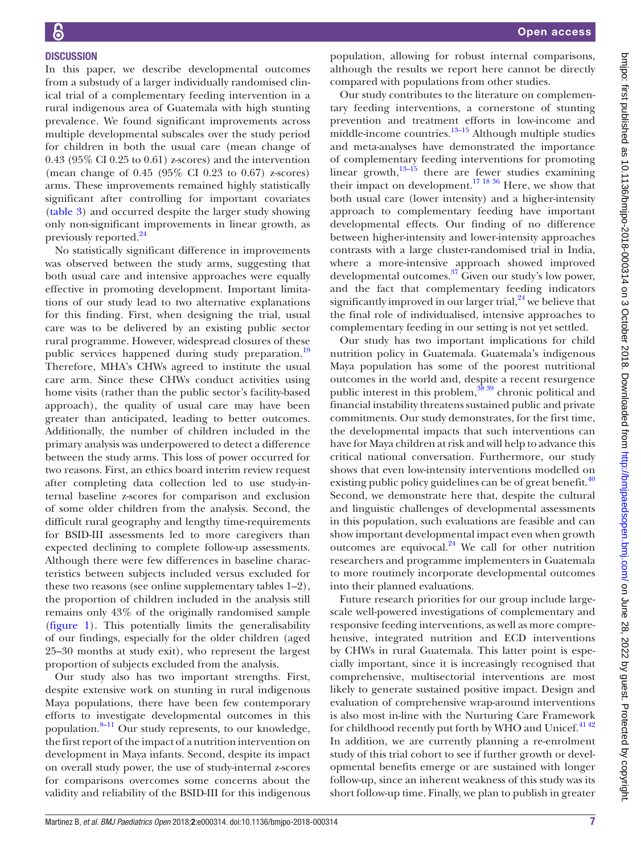In this paper, we describe developmental outcomes from a substudy of a larger individually randomised clinical trial of a complementary feeding intervention in a rural indigenous area of Guatemala with high stunting prevalence. We found significant improvements across multiple developmental subscales over the study period for children in both the usual care (mean change of 0.43 (95% CI 0.25 to 0.61) z-scores) and the intervention (mean change of 0.45 (95% CI 0.23 to 0.67) z-scores) arms. These improvements remained highly statistically significant after controlling for important covariates [\(table](#page-5-0) 3) and occurred despite the larger study showing only non-significant improvements in linear growth, as previously reported[.24](#page-7-13)

No statistically significant difference in improvements was observed between the study arms, suggesting that both usual care and intensive approaches were equally effective in promoting development. Important limitations of our study lead to two alternative explanations for this finding. First, when designing the trial, usual care was to be delivered by an existing public sector rural programme. However, widespread closures of these public services happened during study preparation.<sup>19</sup> Therefore, MHA's CHWs agreed to institute the usual care arm. Since these CHWs conduct activities using home visits (rather than the public sector's facility-based approach), the quality of usual care may have been greater than anticipated, leading to better outcomes. Additionally, the number of children included in the primary analysis was underpowered to detect a difference between the study arms. This loss of power occurred for two reasons. First, an ethics board interim review request after completing data collection led to use study-internal baseline z-scores for comparison and exclusion of some older children from the analysis. Second, the difficult rural geography and lengthy time-requirements for BSID-III assessments led to more caregivers than expected declining to complete follow-up assessments. Although there were few differences in baseline characteristics between subjects included versus excluded for these two reasons (see online [supplementary tables 1–2](https://dx.doi.org/10.1136/bmjpo-2018-000314)), the proportion of children included in the analysis still remains only 43% of the originally randomised sample [\(figure](#page-2-0) 1). This potentially limits the generalisability of our findings, especially for the older children (aged 25–30 months at study exit), who represent the largest proportion of subjects excluded from the analysis.

Our study also has two important strengths. First, despite extensive work on stunting in rural indigenous Maya populations, there have been few contemporary efforts to investigate developmental outcomes in this population. $8-11$  Our study represents, to our knowledge, the first report of the impact of a nutrition intervention on development in Maya infants. Second, despite its impact on overall study power, the use of study-internal z-scores for comparisons overcomes some concerns about the validity and reliability of the BSID-III for this indigenous

population, allowing for robust internal comparisons, although the results we report here cannot be directly compared with populations from other studies.

Our study contributes to the literature on complementary feeding interventions, a cornerstone of stunting prevention and treatment efforts in low-income and middle-income countries. $13-15$  Although multiple studies and meta-analyses have demonstrated the importance of complementary feeding interventions for promoting linear growth, $13-15$  there are fewer studies examining their impact on development.<sup>17</sup> <sup>18 36</sup> Here, we show that both usual care (lower intensity) and a higher-intensity approach to complementary feeding have important developmental effects. Our finding of no difference between higher-intensity and lower-intensity approaches contrasts with a large cluster-randomised trial in India, where a more-intensive approach showed improved developmental outcomes.[37](#page-8-1) Given our study's low power, and the fact that complementary feeding indicators significantly improved in our larger trial, $^{24}$  $^{24}$  $^{24}$  we believe that the final role of individualised, intensive approaches to complementary feeding in our setting is not yet settled.

Our study has two important implications for child nutrition policy in Guatemala. Guatemala's indigenous Maya population has some of the poorest nutritional outcomes in the world and, despite a recent resurgence public interest in this problem,<sup>38</sup> 39</sup> chronic political and financial instability threatens sustained public and private commitments. Our study demonstrates, for the first time, the developmental impacts that such interventions can have for Maya children at risk and will help to advance this critical national conversation. Furthermore, our study shows that even low-intensity interventions modelled on existing public policy guidelines can be of great benefit. $40$ Second, we demonstrate here that, despite the cultural and linguistic challenges of developmental assessments in this population, such evaluations are feasible and can show important developmental impact even when growth outcomes are equivocal. $24$  We call for other nutrition researchers and programme implementers in Guatemala to more routinely incorporate developmental outcomes into their planned evaluations.

Future research priorities for our group include largescale well-powered investigations of complementary and responsive feeding interventions, as well as more comprehensive, integrated nutrition and ECD interventions by CHWs in rural Guatemala. This latter point is especially important, since it is increasingly recognised that comprehensive, multisectorial interventions are most likely to generate sustained positive impact. Design and evaluation of comprehensive wrap-around interventions is also most in-line with the Nurturing Care Framework for childhood recently put forth by WHO and Unicef.<sup>41 42</sup> In addition, we are currently planning a re-enrolment study of this trial cohort to see if further growth or developmental benefits emerge or are sustained with longer follow-up, since an inherent weakness of this study was its short follow-up time. Finally, we plan to publish in greater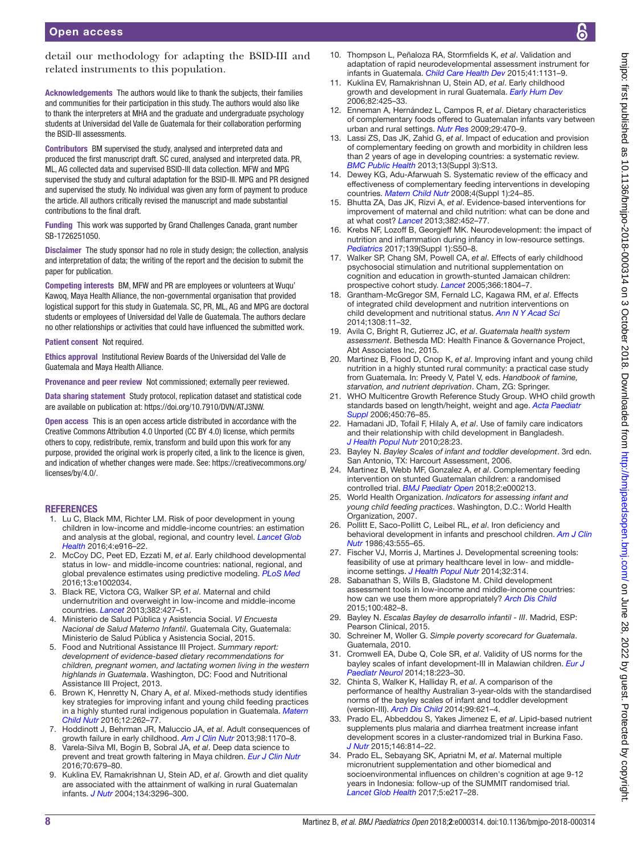detail our methodology for adapting the BSID-III and related instruments to this population.

Acknowledgements The authors would like to thank the subjects, their families and communities for their participation in this study. The authors would also like to thank the interpreters at MHA and the graduate and undergraduate psychology students at Universidad del Valle de Guatemala for their collaboration performing the BSID-III assessments.

Contributors BM supervised the study, analysed and interpreted data and produced the first manuscript draft. SC cured, analysed and interpreted data. PR, ML, AG collected data and supervised BSID-III data collection. MFW and MPG supervised the study and cultural adaptation for the BSID-III. MPG and PR designed and supervised the study. No individual was given any form of payment to produce the article. All authors critically revised the manuscript and made substantial contributions to the final draft.

Funding This work was supported by Grand Challenges Canada, grant number SB-1726251050.

Disclaimer The study sponsor had no role in study design; the collection, analysis and interpretation of data; the writing of the report and the decision to submit the paper for publication.

Competing interests BM, MFW and PR are employees or volunteers at Wuqu' Kawoq, Maya Health Alliance, the non-governmental organisation that provided logistical support for this study in Guatemala. SC, PR, ML, AG and MPG are doctoral students or employees of Universidad del Valle de Guatemala. The authors declare no other relationships or activities that could have influenced the submitted work.

Patient consent Not required.

Ethics approval Institutional Review Boards of the Universidad del Valle de Guatemala and Maya Health Alliance.

Provenance and peer review Not commissioned; externally peer reviewed.

Data sharing statement Study protocol, replication dataset and statistical code are available on publication at:<https://doi.org/10.7910/DVN/ATJ3NW>.

Open access This is an open access article distributed in accordance with the Creative Commons Attribution 4.0 Unported (CC BY 4.0) license, which permits others to copy, redistribute, remix, transform and build upon this work for any purpose, provided the original work is properly cited, a link to the licence is given, and indication of whether changes were made. See: [https://creativecommons.org/](https://creativecommons.org/licenses/by/4.0/) [licenses/by/4.0/](https://creativecommons.org/licenses/by/4.0/).

#### **REFERENCES**

- <span id="page-7-0"></span>1. Lu C, Black MM, Richter LM. Risk of poor development in young children in low-income and middle-income countries: an estimation and analysis at the global, regional, and country level. *[Lancet Glob](http://dx.doi.org/10.1016/S2214-109X(16)30266-2)  [Health](http://dx.doi.org/10.1016/S2214-109X(16)30266-2)* 2016;4:e916–22.
- 2. McCoy DC, Peet ED, Ezzati M, *et al*. Early childhood developmental status in low- and middle-income countries: national, regional, and global prevalence estimates using predictive modeling. *[PLoS Med](http://dx.doi.org/10.1371/journal.pmed.1002034)* 2016;13:e1002034.
- <span id="page-7-1"></span>3. Black RE, Victora CG, Walker SP, *et al*. Maternal and child undernutrition and overweight in low-income and middle-income countries. *[Lancet](http://dx.doi.org/10.1016/S0140-6736(13)60937-X)* 2013;382:427–51.
- <span id="page-7-2"></span>4. Ministerio de Salud Pública y Asistencia Social. *VI Encuesta Nacional de Salud Materno Infantil*. Guatemala City, Guatemala: Ministerio de Salud Pública y Asistencia Social, 2015.
- <span id="page-7-5"></span>5. Food and Nutritional Assistance III Project. *Summary report: development of evidence-based dietary recommendations for children, pregnant women, and lactating women living in the western highlands in Guatemala*. Washington, DC: Food and Nutritional Assistance III Project, 2013.
- 6. Brown K, Henretty N, Chary A, *et al*. Mixed-methods study identifies key strategies for improving infant and young child feeding practices in a highly stunted rural indigenous population in Guatemala. *[Matern](http://dx.doi.org/10.1111/mcn.12141)  [Child Nutr](http://dx.doi.org/10.1111/mcn.12141)* 2016;12:262–77.
- <span id="page-7-3"></span>7. Hoddinott J, Behrman JR, Maluccio JA, *et al*. Adult consequences of growth failure in early childhood. *[Am J Clin Nutr](http://dx.doi.org/10.3945/ajcn.113.064584)* 2013;98:1170–8.
- <span id="page-7-4"></span>8. Varela-Silva MI, Bogin B, Sobral JA, *et al*. Deep data science to prevent and treat growth faltering in Maya children. *[Eur J Clin Nutr](http://dx.doi.org/10.1038/ejcn.2016.63)* 2016;70:679–80.
- <span id="page-7-15"></span>9. Kuklina EV, Ramakrishnan U, Stein AD, *et al*. Growth and diet quality are associated with the attainment of walking in rural Guatemalan infants. *[J Nutr](http://dx.doi.org/10.1093/jn/134.12.3296)* 2004;134:3296–300.
- 10. Thompson L, Peñaloza RA, Stormfields K, *et al*. Validation and adaptation of rapid neurodevelopmental assessment instrument for infants in Guatemala. *[Child Care Health Dev](http://dx.doi.org/10.1111/cch.12279)* 2015;41:1131–9.
- <span id="page-7-6"></span>11. Kuklina EV, Ramakrishnan U, Stein AD, *et al*. Early childhood growth and development in rural Guatemala. *[Early Hum Dev](http://dx.doi.org/10.1016/j.earlhumdev.2005.10.018)* 2006;82:425–33.
- 12. Enneman A, Hernández L, Campos R, *et al*. Dietary characteristics of complementary foods offered to Guatemalan infants vary between urban and rural settings. *[Nutr Res](http://dx.doi.org/10.1016/j.nutres.2009.06.007)* 2009;29:470–9.
- <span id="page-7-20"></span>13. Lassi ZS, Das JK, Zahid G, *et al*. Impact of education and provision of complementary feeding on growth and morbidity in children less than 2 years of age in developing countries: a systematic review. *[BMC Public Health](http://dx.doi.org/10.1186/1471-2458-13-S3-S13)* 2013;13(Suppl 3):S13.
- 14. Dewey KG, Adu-Afarwuah S. Systematic review of the efficacy and effectiveness of complementary feeding interventions in developing countries. *[Matern Child Nutr](http://dx.doi.org/10.1111/j.1740-8709.2007.00124.x)* 2008;4(Suppl 1):24–85.
- 15. Bhutta ZA, Das JK, Rizvi A, *et al*. Evidence-based interventions for improvement of maternal and child nutrition: what can be done and at what cost? *[Lancet](http://dx.doi.org/10.1016/S0140-6736(13)60996-4)* 2013;382:452–77.
- <span id="page-7-7"></span>16. Krebs NF, Lozoff B, Georgieff MK. Neurodevelopment: the impact of nutrition and inflammation during infancy in low-resource settings. *[Pediatrics](http://dx.doi.org/10.1542/peds.2016-2828G)* 2017;139(Suppl 1):S50–8.
- <span id="page-7-21"></span>17. Walker SP, Chang SM, Powell CA, *et al*. Effects of early childhood psychosocial stimulation and nutritional supplementation on cognition and education in growth-stunted Jamaican children: prospective cohort study. *[Lancet](http://dx.doi.org/10.1016/S0140-6736(05)67574-5)* 2005;366:1804–7.
- 18. Grantham-McGregor SM, Fernald LC, Kagawa RM, *et al*. Effects of integrated child development and nutrition interventions on child development and nutritional status. *[Ann N Y Acad Sci](http://dx.doi.org/10.1111/nyas.12284)* 2014;1308:11–32.
- <span id="page-7-8"></span>19. Avila C, Bright R, Gutierrez JC, *et al*. *Guatemala health system assessment*. Bethesda MD: Health Finance & Governance Project, Abt Associates Inc, 2015.
- <span id="page-7-9"></span>20. Martinez B, Flood D, Cnop K, *et al*. Improving infant and young child nutrition in a highly stunted rural community: a practical case study from Guatemala. In: Preedy V, Patel V, eds. *Handbook of famine, starvation, and nutrient deprivation*. Cham, ZG: Springer.
- <span id="page-7-10"></span>21. WHO Multicentre Growth Reference Study Group. WHO child growth standards based on length/height, weight and age. *[Acta Paediatr](http://www.ncbi.nlm.nih.gov/pubmed/16817681)  [Suppl](http://www.ncbi.nlm.nih.gov/pubmed/16817681)* 2006;450:76–85.
- <span id="page-7-11"></span>22. Hamadani JD, Tofail F, Hilaly A, *et al*. Use of family care indicators and their relationship with child development in Bangladesh. *[J Health Popul Nutr](http://dx.doi.org/10.3329/jhpn.v28i1.4520)* 2010;28:23.
- <span id="page-7-12"></span>23. Bayley N. *Bayley Scales of infant and toddler development*. 3rd edn. San Antonio, TX: Harcourt Assessment, 2006.
- <span id="page-7-13"></span>24. Martinez B, Webb MF, Gonzalez A, *et al*. Complementary feeding intervention on stunted Guatemalan children: a randomised controlled trial. *[BMJ Paediatr Open](http://dx.doi.org/10.1136/bmjpo-2017-000213)* 2018;2:e000213.
- <span id="page-7-14"></span>25. World Health Organization. *Indicators for assessing infant and young child feeding practices*. Washington, D.C.: World Health Organization, 2007.
- 26. Pollitt E, Saco-Pollitt C, Leibel RL, *et al*. Iron deficiency and behavioral development in infants and preschool children. *[Am J Clin](http://dx.doi.org/10.1093/ajcn/43.4.555)  [Nutr](http://dx.doi.org/10.1093/ajcn/43.4.555)* 1986;43:555–65.
- <span id="page-7-16"></span>27. Fischer VJ, Morris J, Martines J. Developmental screening tools: feasibility of use at primary healthcare level in low- and middleincome settings. *[J Health Popul Nutr](http://www.ncbi.nlm.nih.gov/pubmed/25076668)* 2014;32:314.
- 28. Sabanathan S, Wills B, Gladstone M. Child development assessment tools in low-income and middle-income countries: how can we use them more appropriately? *[Arch Dis Child](http://dx.doi.org/10.1136/archdischild-2014-308114)* 2015;100:482–8.
- 29. Bayley N. *Escalas Bayley de desarrollo infantil III*. Madrid, ESP: Pearson Clinical, 2015.
- <span id="page-7-17"></span>30. Schreiner M, Woller G. *Simple poverty scorecard for Guatemala*. Guatemala, 2010.
- <span id="page-7-18"></span>31. Cromwell EA, Dube Q, Cole SR, *et al*. Validity of US norms for the bayley scales of infant development-III in Malawian children. *[Eur J](http://dx.doi.org/10.1016/j.ejpn.2013.11.011)  [Paediatr Neurol](http://dx.doi.org/10.1016/j.ejpn.2013.11.011)* 2014;18:223–30.
- 32. Chinta S, Walker K, Halliday R, *et al*. A comparison of the performance of healthy Australian 3-year-olds with the standardised norms of the bayley scales of infant and toddler development (version-III). *[Arch Dis Child](http://dx.doi.org/10.1136/archdischild-2013-304834)* 2014;99:621–4.
- <span id="page-7-19"></span>33. Prado EL, Abbeddou S, Yakes Jimenez E, *et al*. Lipid-based nutrient supplements plus malaria and diarrhea treatment increase infant development scores in a cluster-randomized trial in Burkina Faso. *[J Nutr](http://dx.doi.org/10.3945/jn.115.225524)* 2015;146:814–22.
- 34. Prado EL, Sebayang SK, Apriatni M, *et al*. Maternal multiple micronutrient supplementation and other biomedical and socioenvironmental influences on children's cognition at age 9-12 years in Indonesia: follow-up of the SUMMIT randomised trial. *[Lancet Glob Health](http://dx.doi.org/10.1016/S2214-109X(16)30354-0)* 2017;5:e217–28.